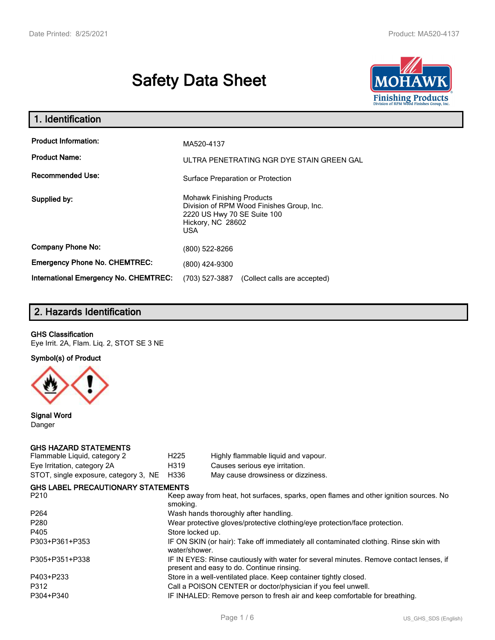# **Safety Data Sheet**



| 1. Identification                            |                                                                                                                                                 |  |  |
|----------------------------------------------|-------------------------------------------------------------------------------------------------------------------------------------------------|--|--|
| <b>Product Information:</b>                  | MA520-4137                                                                                                                                      |  |  |
| <b>Product Name:</b>                         | ULTRA PENETRATING NGR DYE STAIN GREEN GAL                                                                                                       |  |  |
| <b>Recommended Use:</b>                      | Surface Preparation or Protection                                                                                                               |  |  |
| Supplied by:                                 | <b>Mohawk Finishing Products</b><br>Division of RPM Wood Finishes Group, Inc.<br>2220 US Hwy 70 SE Suite 100<br>Hickory, NC 28602<br><b>USA</b> |  |  |
| <b>Company Phone No:</b>                     | (800) 522-8266                                                                                                                                  |  |  |
| <b>Emergency Phone No. CHEMTREC:</b>         | (800) 424-9300                                                                                                                                  |  |  |
| <b>International Emergency No. CHEMTREC:</b> | (703) 527-3887<br>(Collect calls are accepted)                                                                                                  |  |  |

# **2. Hazards Identification**

#### **GHS Classification**

Eye Irrit. 2A, Flam. Liq. 2, STOT SE 3 NE

**Symbol(s) of Product**



**Signal Word** Danger

#### **GHS HAZARD STATEMENTS**

| H <sub>225</sub>                                                           | Highly flammable liquid and vapour.                                                                                                 |  |
|----------------------------------------------------------------------------|-------------------------------------------------------------------------------------------------------------------------------------|--|
| H319                                                                       | Causes serious eye irritation.                                                                                                      |  |
| H336                                                                       | May cause drowsiness or dizziness.                                                                                                  |  |
|                                                                            |                                                                                                                                     |  |
| smoking.                                                                   | Keep away from heat, hot surfaces, sparks, open flames and other ignition sources. No                                               |  |
|                                                                            | Wash hands thoroughly after handling.                                                                                               |  |
| Wear protective gloves/protective clothing/eye protection/face protection. |                                                                                                                                     |  |
| Store locked up.                                                           |                                                                                                                                     |  |
| water/shower.                                                              | IF ON SKIN (or hair): Take off immediately all contaminated clothing. Rinse skin with                                               |  |
|                                                                            | IF IN EYES: Rinse cautiously with water for several minutes. Remove contact lenses, if<br>present and easy to do. Continue rinsing. |  |
|                                                                            | Store in a well-ventilated place. Keep container tightly closed.                                                                    |  |
|                                                                            | Call a POISON CENTER or doctor/physician if you feel unwell.                                                                        |  |
|                                                                            | IF INHALED: Remove person to fresh air and keep comfortable for breathing.                                                          |  |
|                                                                            | <b>GHS LABEL PRECAUTIONARY STATEMENTS</b>                                                                                           |  |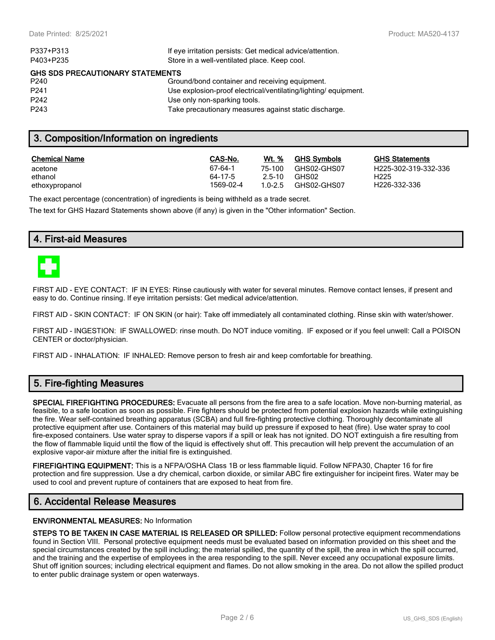| If eye irritation persists: Get medical advice/attention.      |
|----------------------------------------------------------------|
| Store in a well-ventilated place. Keep cool.                   |
| <b>GHS SDS PRECAUTIONARY STATEMENTS</b>                        |
| Ground/bond container and receiving equipment.                 |
| Use explosion-proof electrical/ventilating/lighting/equipment. |
| Use only non-sparking tools.                                   |
| Take precautionary measures against static discharge.          |
|                                                                |

## **3. Composition/Information on ingredients**

| <b>Chemical Name</b> | CAS-No.   | Wt. %  | <b>GHS Symbols</b> | GHS  |
|----------------------|-----------|--------|--------------------|------|
| acetone              | 67-64-1   | 75-100 | GHS02-GHS07        | H225 |
| ethanol              | 64-17-5   | 2.5-10 | GHS02              | H225 |
| ethoxypropanol       | 1569-02-4 | 10-25  | GHS02-GHS07        | H226 |

**GHS Statements** H225-302-319-332-336 H226-332-336

The exact percentage (concentration) of ingredients is being withheld as a trade secret.

The text for GHS Hazard Statements shown above (if any) is given in the "Other information" Section.

## **4. First-aid Measures**



FIRST AID - EYE CONTACT: IF IN EYES: Rinse cautiously with water for several minutes. Remove contact lenses, if present and easy to do. Continue rinsing. If eye irritation persists: Get medical advice/attention.

FIRST AID - SKIN CONTACT: IF ON SKIN (or hair): Take off immediately all contaminated clothing. Rinse skin with water/shower.

FIRST AID - INGESTION: IF SWALLOWED: rinse mouth. Do NOT induce vomiting. IF exposed or if you feel unwell: Call a POISON CENTER or doctor/physician.

FIRST AID - INHALATION: IF INHALED: Remove person to fresh air and keep comfortable for breathing.

# **5. Fire-fighting Measures**

**SPECIAL FIREFIGHTING PROCEDURES:** Evacuate all persons from the fire area to a safe location. Move non-burning material, as feasible, to a safe location as soon as possible. Fire fighters should be protected from potential explosion hazards while extinguishing the fire. Wear self-contained breathing apparatus (SCBA) and full fire-fighting protective clothing. Thoroughly decontaminate all protective equipment after use. Containers of this material may build up pressure if exposed to heat (fire). Use water spray to cool fire-exposed containers. Use water spray to disperse vapors if a spill or leak has not ignited. DO NOT extinguish a fire resulting from the flow of flammable liquid until the flow of the liquid is effectively shut off. This precaution will help prevent the accumulation of an explosive vapor-air mixture after the initial fire is extinguished.

**FIREFIGHTING EQUIPMENT:** This is a NFPA/OSHA Class 1B or less flammable liquid. Follow NFPA30, Chapter 16 for fire protection and fire suppression. Use a dry chemical, carbon dioxide, or similar ABC fire extinguisher for incipeint fires. Water may be used to cool and prevent rupture of containers that are exposed to heat from fire.

# **6. Accidental Release Measures**

#### **ENVIRONMENTAL MEASURES:** No Information

**STEPS TO BE TAKEN IN CASE MATERIAL IS RELEASED OR SPILLED:** Follow personal protective equipment recommendations found in Section VIII. Personal protective equipment needs must be evaluated based on information provided on this sheet and the special circumstances created by the spill including; the material spilled, the quantity of the spill, the area in which the spill occurred, and the training and the expertise of employees in the area responding to the spill. Never exceed any occupational exposure limits. Shut off ignition sources; including electrical equipment and flames. Do not allow smoking in the area. Do not allow the spilled product to enter public drainage system or open waterways.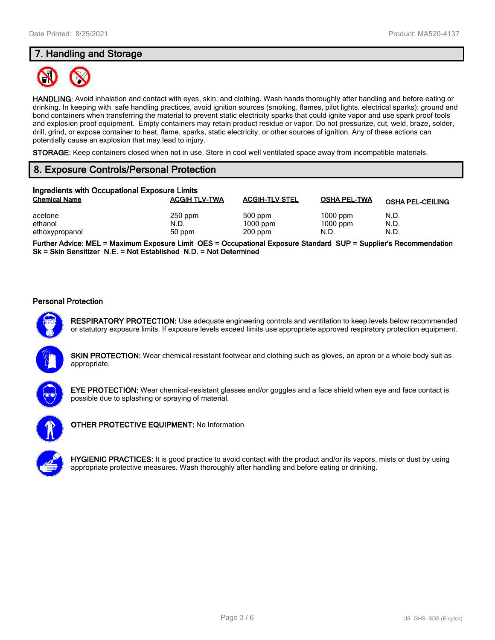# **7. Handling and Storage**



**HANDLING:** Avoid inhalation and contact with eyes, skin, and clothing. Wash hands thoroughly after handling and before eating or drinking. In keeping with safe handling practices, avoid ignition sources (smoking, flames, pilot lights, electrical sparks); ground and bond containers when transferring the material to prevent static electricity sparks that could ignite vapor and use spark proof tools and explosion proof equipment. Empty containers may retain product residue or vapor. Do not pressurize, cut, weld, braze, solder, drill, grind, or expose container to heat, flame, sparks, static electricity, or other sources of ignition. Any of these actions can potentially cause an explosion that may lead to injury.

**STORAGE:** Keep containers closed when not in use. Store in cool well ventilated space away from incompatible materials.

# **8. Exposure Controls/Personal Protection**

| Ingredients with Occupational Exposure Limits |                             |                                    |                                  |                         |  |
|-----------------------------------------------|-----------------------------|------------------------------------|----------------------------------|-------------------------|--|
| <b>Chemical Name</b>                          | <b>ACGIH TLV-TWA</b>        | <b>ACGIH-TLV STEL</b>              | <b>OSHA PEL-TWA</b>              | <b>OSHA PEL-CEILING</b> |  |
| acetone<br>ethanol<br>ethoxypropanol          | $250$ ppm<br>N.D.<br>50 ppm | 500 ppm<br>$1000$ ppm<br>$200$ ppm | $1000$ ppm<br>$1000$ ppm<br>N.D. | N.D.<br>N.D.<br>N.D.    |  |

**Further Advice: MEL = Maximum Exposure Limit OES = Occupational Exposure Standard SUP = Supplier's Recommendation Sk = Skin Sensitizer N.E. = Not Established N.D. = Not Determined**

#### **Personal Protection**



**RESPIRATORY PROTECTION:** Use adequate engineering controls and ventilation to keep levels below recommended or statutory exposure limits. If exposure levels exceed limits use appropriate approved respiratory protection equipment.





**EYE PROTECTION:** Wear chemical-resistant glasses and/or goggles and a face shield when eye and face contact is possible due to splashing or spraying of material.



**OTHER PROTECTIVE EQUIPMENT:** No Information

**HYGIENIC PRACTICES:** It is good practice to avoid contact with the product and/or its vapors, mists or dust by using appropriate protective measures. Wash thoroughly after handling and before eating or drinking.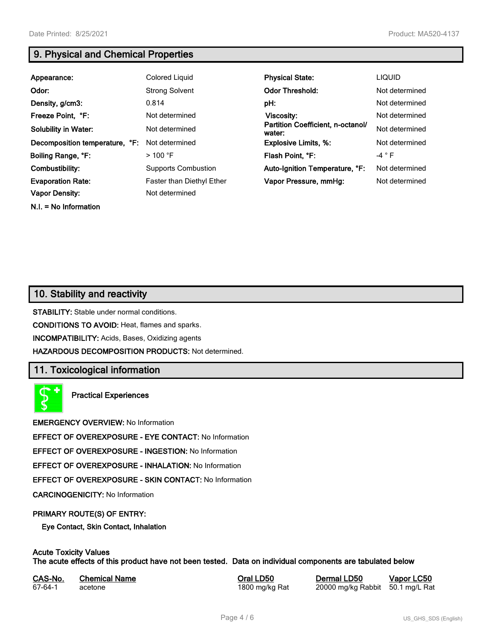**N.I. = No Information**

# **9. Physical and Chemical Properties**

| Appearance:                    | Colored Liquid             | <b>Physical State:</b>                      | <b>LIQUID</b>  |
|--------------------------------|----------------------------|---------------------------------------------|----------------|
| Odor:                          | <b>Strong Solvent</b>      | <b>Odor Threshold:</b>                      | Not determined |
| Density, g/cm3:                | 0.814                      | pH:                                         | Not determined |
| Freeze Point, °F:              | Not determined             | <b>Viscosity:</b>                           | Not determined |
| <b>Solubility in Water:</b>    | Not determined             | Partition Coefficient, n-octanol/<br>water: | Not determined |
| Decomposition temperature, °F: | Not determined             | <b>Explosive Limits, %:</b>                 | Not determined |
| Boiling Range, °F:             | $>100$ °F                  | Flash Point, °F:                            | $-4 ° F$       |
| Combustibility:                | <b>Supports Combustion</b> | Auto-Ignition Temperature, °F:              | Not determined |
| <b>Evaporation Rate:</b>       | Faster than Diethyl Ether  | Vapor Pressure, mmHg:                       | Not determined |
| <b>Vapor Density:</b>          | Not determined             |                                             |                |

## **10. Stability and reactivity**

**STABILITY:** Stable under normal conditions.

**CONDITIONS TO AVOID:** Heat, flames and sparks.

**INCOMPATIBILITY:** Acids, Bases, Oxidizing agents

**HAZARDOUS DECOMPOSITION PRODUCTS:** Not determined.

## **11. Toxicological information**

**Practical Experiences**

**EMERGENCY OVERVIEW:** No Information

**EFFECT OF OVEREXPOSURE - EYE CONTACT:** No Information

**EFFECT OF OVEREXPOSURE - INGESTION:** No Information

**EFFECT OF OVEREXPOSURE - INHALATION:** No Information

**EFFECT OF OVEREXPOSURE - SKIN CONTACT:** No Information

**CARCINOGENICITY:** No Information

#### **PRIMARY ROUTE(S) OF ENTRY:**

**Eye Contact, Skin Contact, Inhalation**

# **Acute Toxicity Values**

**The acute effects of this product have not been tested. Data on individual components are tabulated below**

| CAS-No. | <b>Chemical Name</b> |
|---------|----------------------|
| 67-64-1 | acetone              |

**Casary Chemical Chemical LD50 Chemical LD50 Vapor LC50** 1800 mg/kg Rat 20000 mg/kg Rabbit 50.1 mg/L Rat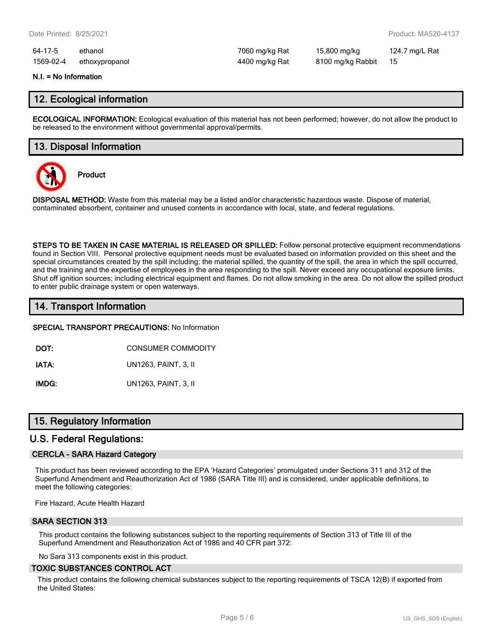64-17-5 ethanol 7060 mg/kg Rat 15,800 mg/kg 124.7 mg/L Rat 1569-02-4 ethoxypropanol 4400 mg/kg Rat 8100 mg/kg Rabbit 15

#### **N.I. = No Information**

### **12. Ecological information**

**ECOLOGICAL INFORMATION:** Ecological evaluation of this material has not been performed; however, do not allow the product to be released to the environment without governmental approval/permits.

## **13. Disposal Information**



**Product**

**DISPOSAL METHOD:** Waste from this material may be a listed and/or characteristic hazardous waste. Dispose of material, contaminated absorbent, container and unused contents in accordance with local, state, and federal regulations.

**STEPS TO BE TAKEN IN CASE MATERIAL IS RELEASED OR SPILLED:** Follow personal protective equipment recommendations found in Section VIII. Personal protective equipment needs must be evaluated based on information provided on this sheet and the special circumstances created by the spill including; the material spilled, the quantity of the spill, the area in which the spill occurred, and the training and the expertise of employees in the area responding to the spill. Never exceed any occupational exposure limits. Shut off ignition sources; including electrical equipment and flames. Do not allow smoking in the area. Do not allow the spilled product to enter public drainage system or open waterways.

## **14. Transport Information**

**SPECIAL TRANSPORT PRECAUTIONS:** No Information

**DOT:** CONSUMER COMMODITY

**IATA:** UN1263, PAINT, 3, II

**IMDG:** UN1263, PAINT, 3, II

## **15. Regulatory Information**

## **U.S. Federal Regulations:**

#### **CERCLA - SARA Hazard Category**

This product has been reviewed according to the EPA 'Hazard Categories' promulgated under Sections 311 and 312 of the Superfund Amendment and Reauthorization Act of 1986 (SARA Title III) and is considered, under applicable definitions, to meet the following categories:

Fire Hazard, Acute Health Hazard

#### **SARA SECTION 313**

This product contains the following substances subject to the reporting requirements of Section 313 of Title III of the Superfund Amendment and Reauthorization Act of 1986 and 40 CFR part 372:

No Sara 313 components exist in this product.

#### **TOXIC SUBSTANCES CONTROL ACT**

This product contains the following chemical substances subject to the reporting requirements of TSCA 12(B) if exported from the United States: